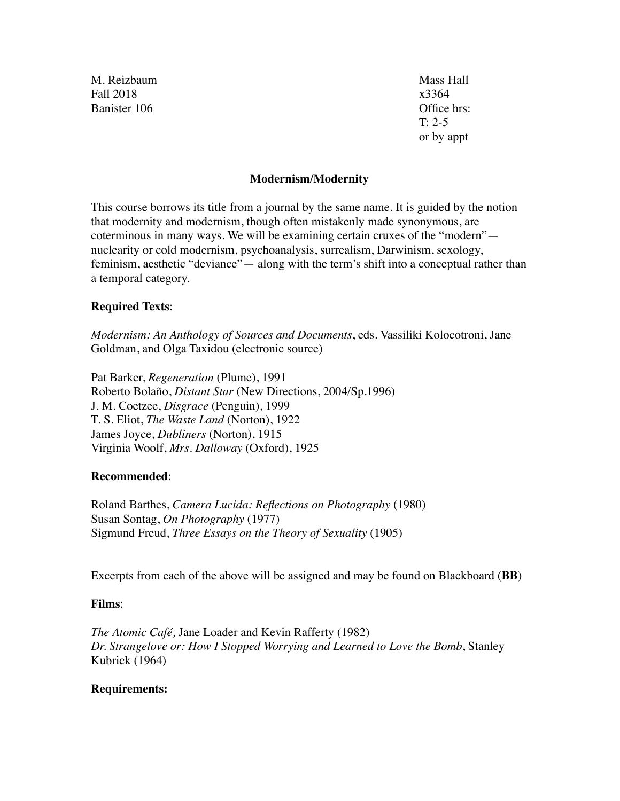M. Reizbaum Mass Hall Fall 2018 x3364 Banister 106 Communication of the United States of the Office hrs:

T: 2-5 or by appt

#### **Modernism/Modernity**

This course borrows its title from a journal by the same name. It is guided by the notion that modernity and modernism, though often mistakenly made synonymous, are coterminous in many ways. We will be examining certain cruxes of the "modern" nuclearity or cold modernism, psychoanalysis, surrealism, Darwinism, sexology, feminism, aesthetic "deviance"— along with the term's shift into a conceptual rather than a temporal category.

#### **Required Texts**:

*Modernism: An Anthology of Sources and Documents*, eds. Vassiliki Kolocotroni, Jane Goldman, and Olga Taxidou (electronic source)

Pat Barker, *Regeneration* (Plume), 1991 Roberto Bolaño, *Distant Star* (New Directions, 2004/Sp.1996) J. M. Coetzee, *Disgrace* (Penguin), 1999 T. S. Eliot, *The Waste Land* (Norton), 1922 James Joyce, *Dubliners* (Norton), 1915 Virginia Woolf, *Mrs. Dalloway* (Oxford), 1925

## **Recommended**:

Roland Barthes, *Camera Lucida: Reflections on Photography* (1980) Susan Sontag, *On Photography* (1977) Sigmund Freud, *Three Essays on the Theory of Sexuality* (1905)

Excerpts from each of the above will be assigned and may be found on Blackboard (**BB**)

## **Films**:

*The Atomic Café,* Jane Loader and Kevin Rafferty (1982) *Dr. Strangelove or: How I Stopped Worrying and Learned to Love the Bomb*, Stanley Kubrick (1964)

#### **Requirements:**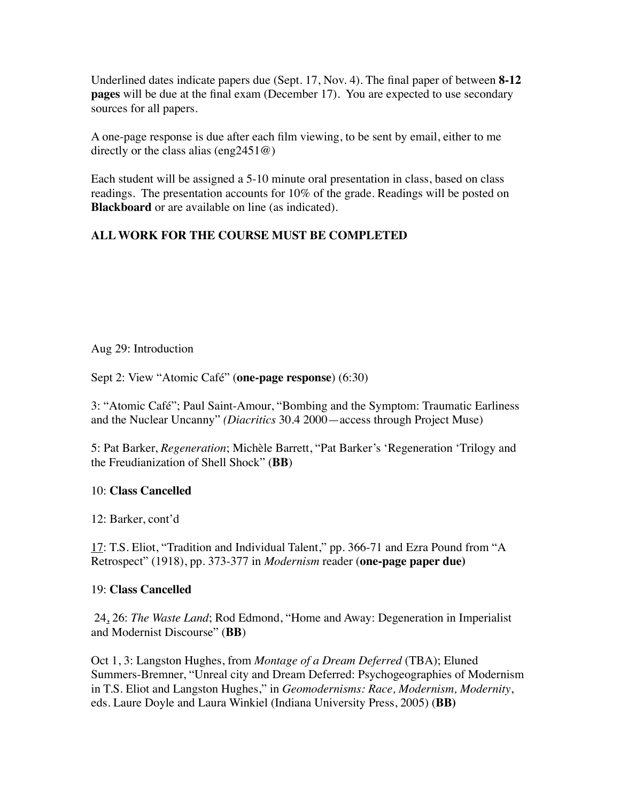Underlined dates indicate papers due (Sept. 17, Nov. 4). The final paper of between **8-12 pages** will be due at the final exam (December 17). You are expected to use secondary sources for all papers.

A one-page response is due after each film viewing, to be sent by email, either to me directly or the class alias (eng2451 $@$ )

Each student will be assigned a 5-10 minute oral presentation in class, based on class readings. The presentation accounts for 10% of the grade. Readings will be posted on **Blackboard** or are available on line (as indicated).

# **ALL WORK FOR THE COURSE MUST BE COMPLETED**

Aug 29: Introduction

Sept 2: View "Atomic Café" (**one-page response**) (6:30)

3: "Atomic Café"; Paul Saint-Amour, "Bombing and the Symptom: Traumatic Earliness and the Nuclear Uncanny" *(Diacritics* 30.4 2000—access through Project Muse)

5: Pat Barker, *Regeneration*; Michèle Barrett, "Pat Barker's 'Regeneration 'Trilogy and the Freudianization of Shell Shock" (**BB**)

## 10: **Class Cancelled**

12: Barker, cont'd

17: T.S. Eliot, "Tradition and Individual Talent," pp. 366-71 and Ezra Pound from "A Retrospect" (1918), pp. 373-377 in *Modernism* reader (**one-page paper due)**

## 19: **Class Cancelled**

 24, 26: *The Waste Land*; Rod Edmond, "Home and Away: Degeneration in Imperialist and Modernist Discourse" (**BB**)

Oct 1, 3: Langston Hughes, from *Montage of a Dream Deferred* (TBA); Eluned Summers-Bremner, "Unreal city and Dream Deferred: Psychogeographies of Modernism in T.S. Eliot and Langston Hughes," in *Geomodernisms: Race, Modernism, Modernity*, eds. Laure Doyle and Laura Winkiel (Indiana University Press, 2005) (**BB)**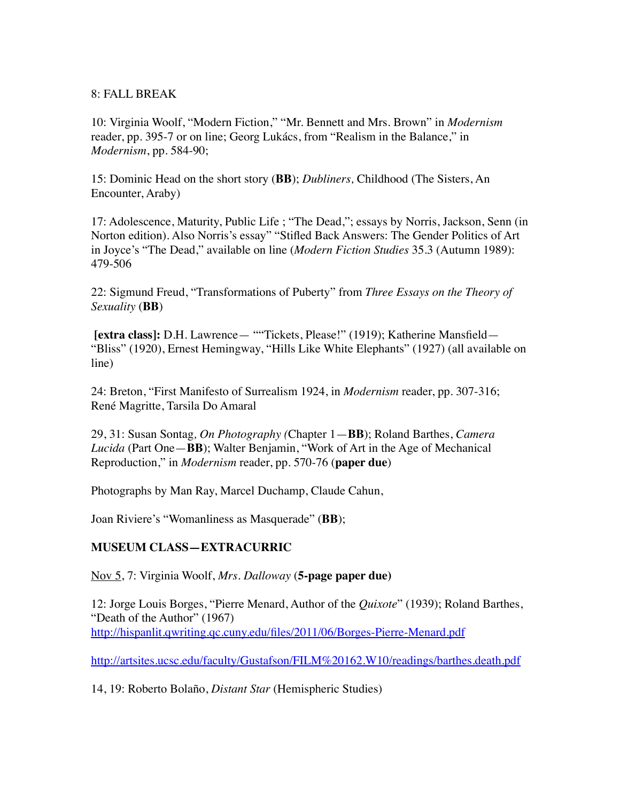#### 8: FALL BREAK

10: Virginia Woolf, "Modern Fiction," "Mr. Bennett and Mrs. Brown" in *Modernism* reader, pp. 395-7 or on line; Georg Lukács, from "Realism in the Balance," in *Modernism*, pp. 584-90;

15: Dominic Head on the short story (**BB**); *Dubliners,* Childhood (The Sisters, An Encounter, Araby)

17: Adolescence, Maturity, Public Life ; "The Dead,"; essays by Norris, Jackson, Senn (in Norton edition). Also Norris's essay" "Stifled Back Answers: The Gender Politics of Art in Joyce's "The Dead," available on line (*Modern Fiction Studies* 35.3 (Autumn 1989): 479-506

22: Sigmund Freud, "Transformations of Puberty" from *Three Essays on the Theory of Sexuality* (**BB**)

**[extra class]:** D.H. Lawrence— ""Tickets, Please!" (1919); Katherine Mansfield— "Bliss" (1920), Ernest Hemingway, "Hills Like White Elephants" (1927) (all available on line)

24: Breton, "First Manifesto of Surrealism 1924, in *Modernism* reader, pp. 307-316; René Magritte, Tarsila Do Amaral

29, 31: Susan Sontag*, On Photography (*Chapter 1—**BB**); Roland Barthes, *Camera Lucida* (Part One—**BB**); Walter Benjamin, "Work of Art in the Age of Mechanical Reproduction," in *Modernism* reader, pp. 570-76 (**paper due**)

Photographs by Man Ray, Marcel Duchamp, Claude Cahun,

Joan Riviere's "Womanliness as Masquerade" (**BB**);

## **MUSEUM CLASS—EXTRACURRIC**

Nov 5, 7: Virginia Woolf, *Mrs. Dalloway* (**5-page paper due)**

12: Jorge Louis Borges, "Pierre Menard, Author of the *Quixote*" (1939); Roland Barthes, "Death of the Author" (1967) <http://hispanlit.qwriting.qc.cuny.edu/files/2011/06/Borges-Pierre-Menard.pdf>

[http://artsites.ucsc.edu/faculty/Gustafson/FILM%20162.W10/readings/barthes.death.pdf](http://artsites.ucsc.edu/faculty/Gustafson/FILM%2520162.W10/readings/barthes.death.pdf)

14, 19: Roberto Bolaño, *Distant Star* (Hemispheric Studies)